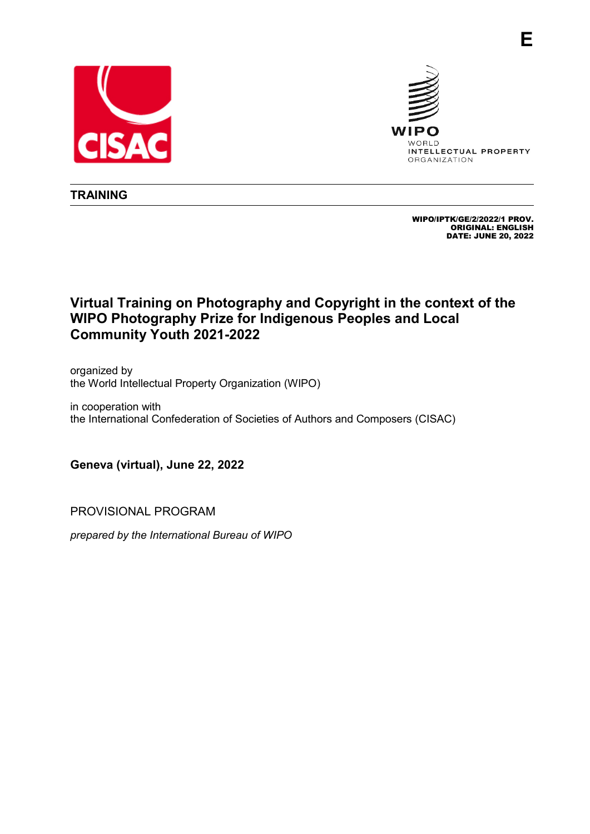



**E**

**TRAINING**

WIPO/IPTK/GE/2/2022/1 PROV. ORIGINAL: ENGLISH DATE: JUNE 20, 2022

## **Virtual Training on Photography and Copyright in the context of the WIPO Photography Prize for Indigenous Peoples and Local Community Youth 2021-2022**

organized by the World Intellectual Property Organization (WIPO)

in cooperation with the International Confederation of Societies of Authors and Composers (CISAC)

**Geneva (virtual), June 22, 2022**

PROVISIONAL PROGRAM

*prepared by the International Bureau of WIPO*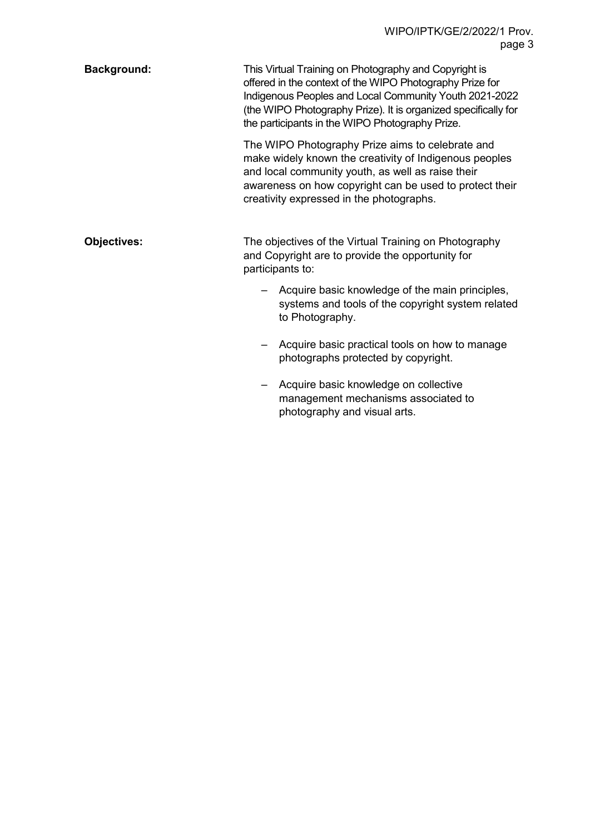| <b>Background:</b> | This Virtual Training on Photography and Copyright is<br>offered in the context of the WIPO Photography Prize for<br>Indigenous Peoples and Local Community Youth 2021-2022<br>(the WIPO Photography Prize). It is organized specifically for<br>the participants in the WIPO Photography Prize. |
|--------------------|--------------------------------------------------------------------------------------------------------------------------------------------------------------------------------------------------------------------------------------------------------------------------------------------------|
|                    | The WIPO Photography Prize aims to celebrate and<br>make widely known the creativity of Indigenous peoples<br>and local community youth, as well as raise their<br>awareness on how copyright can be used to protect their<br>creativity expressed in the photographs.                           |
| <b>Objectives:</b> | The objectives of the Virtual Training on Photography<br>and Copyright are to provide the opportunity for<br>participants to:                                                                                                                                                                    |
|                    | Acquire basic knowledge of the main principles,<br>systems and tools of the copyright system related<br>to Photography.                                                                                                                                                                          |
|                    | Acquire basic practical tools on how to manage<br>photographs protected by copyright.                                                                                                                                                                                                            |
|                    | Acquire basic knowledge on collective<br>management mechanisms associated to                                                                                                                                                                                                                     |

photography and visual arts.